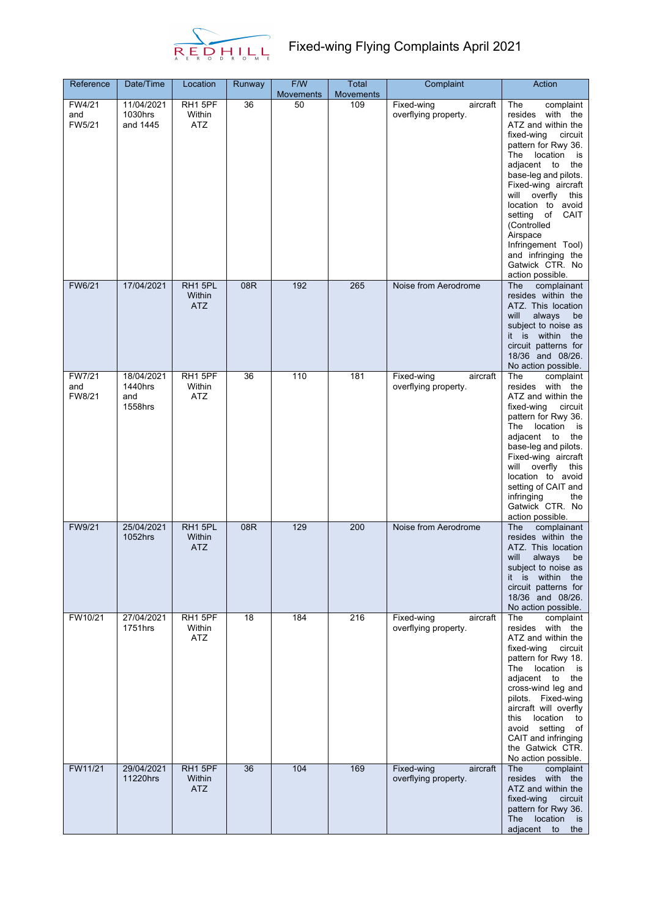

| Reference               | Date/Time                               | Location                        | Runway | F/W<br><b>Movements</b> | Total<br><b>Movements</b> | Complaint                                      | Action                                                                                                                                                                                                                                                                                                                                                                                          |
|-------------------------|-----------------------------------------|---------------------------------|--------|-------------------------|---------------------------|------------------------------------------------|-------------------------------------------------------------------------------------------------------------------------------------------------------------------------------------------------------------------------------------------------------------------------------------------------------------------------------------------------------------------------------------------------|
| FW4/21<br>and<br>FW5/21 | 11/04/2021<br>1030hrs<br>and 1445       | RH1 5PF<br>Within<br><b>ATZ</b> | 36     | $\overline{50}$         | 109                       | Fixed-wing<br>aircraft<br>overflying property. | The<br>complaint<br>resides with the<br>ATZ and within the<br>fixed-wing<br>circuit<br>pattern for Rwy 36.<br>location<br>The<br>is<br>adjacent to<br>the<br>base-leg and pilots.<br>Fixed-wing aircraft<br>will<br>overfly<br>this<br>location to avoid<br>setting<br>of<br>CAIT<br>(Controlled<br>Airspace<br>Infringement Tool)<br>and infringing the<br>Gatwick CTR. No<br>action possible. |
| FW6/21                  | 17/04/2021                              | RH1 5PL<br>Within<br><b>ATZ</b> | 08R    | 192                     | 265                       | Noise from Aerodrome                           | The<br>complainant<br>resides within the<br>ATZ. This location<br>will<br>always<br>be<br>subject to noise as<br>it is within<br>the<br>circuit patterns for<br>18/36 and 08/26.<br>No action possible.                                                                                                                                                                                         |
| FW7/21<br>and<br>FW8/21 | 18/04/2021<br>1440hrs<br>and<br>1558hrs | RH1 5PF<br>Within<br><b>ATZ</b> | 36     | 110                     | 181                       | Fixed-wing<br>aircraft<br>overflying property. | The<br>complaint<br>resides with the<br>ATZ and within the<br>fixed-wing<br>circuit<br>pattern for Rwy 36.<br>The<br>location<br>is is<br>adjacent to<br>the<br>base-leg and pilots.<br>Fixed-wing aircraft<br>will overfly<br>this<br>location to avoid<br>setting of CAIT and<br>infringing<br>the<br>Gatwick CTR. No<br>action possible.                                                     |
| FW9/21                  | 25/04/2021<br>1052hrs                   | RH1 5PL<br>Within<br><b>ATZ</b> | 08R    | 129                     | 200                       | Noise from Aerodrome                           | The<br>complainant<br>resides within the<br>ATZ. This location<br>will<br>always<br>be<br>subject to noise as<br>it is within the<br>circuit patterns for<br>18/36 and 08/26.<br>No action possible.                                                                                                                                                                                            |
| FW10/21                 | 27/04/2021<br>1751hrs                   | RH1 5PF<br>Within<br><b>ATZ</b> | 18     | 184                     | 216                       | Fixed-wing<br>aircraft<br>overflying property. | The<br>complaint<br>resides with the<br>ATZ and within the<br>circuit<br>fixed-wing<br>pattern for Rwy 18.<br>location<br>The<br>is<br>adjacent to<br>the<br>cross-wind leg and<br>pilots. Fixed-wing<br>aircraft will overfly<br>location<br>this<br>to<br>avoid setting<br>of<br>CAIT and infringing<br>the Gatwick CTR.<br>No action possible.                                               |
| FW11/21                 | 29/04/2021<br>11220hrs                  | RH1 5PF<br>Within<br><b>ATZ</b> | 36     | 104                     | 169                       | Fixed-wing<br>aircraft<br>overflying property. | The<br>complaint<br>resides with the<br>ATZ and within the<br>fixed-wing<br>circuit<br>pattern for Rwy 36.<br>The location<br>is is<br>adjacent<br>to<br>the                                                                                                                                                                                                                                    |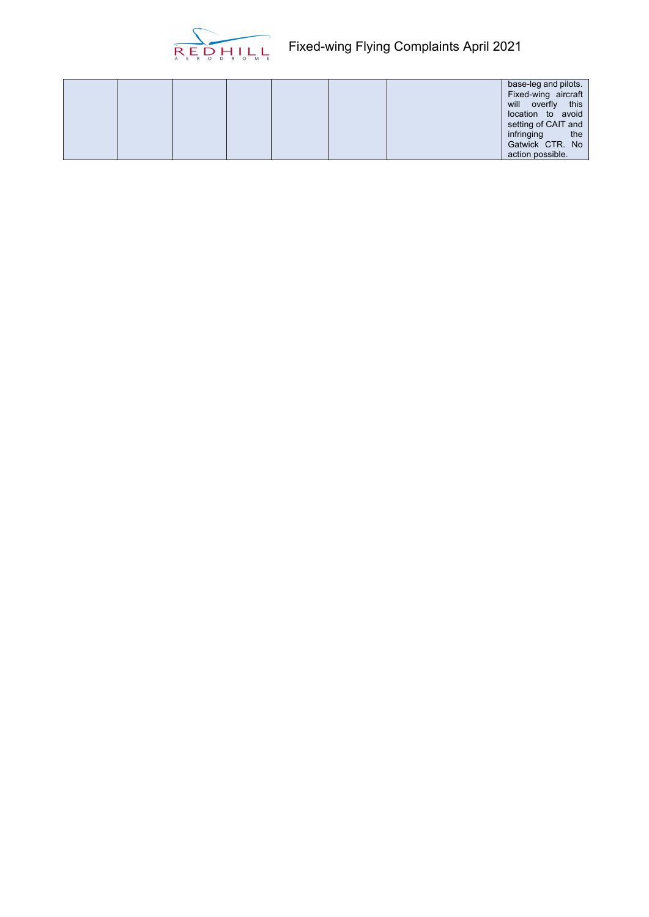

|--|